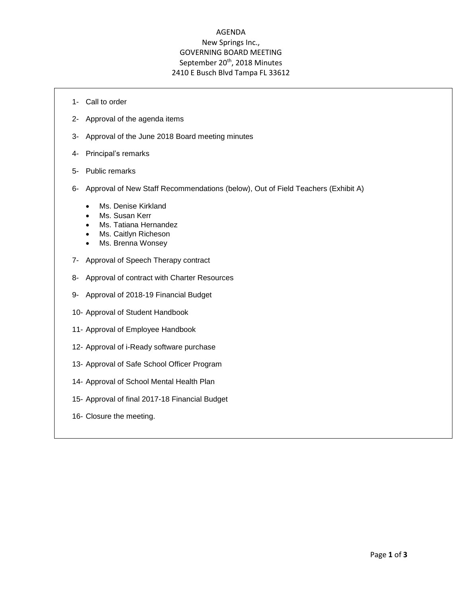## AGENDA New Springs Inc., GOVERNING BOARD MEETING September 20<sup>th</sup>, 2018 Minutes 2410 E Busch Blvd Tampa FL 33612

- 1- Call to order
- 2- Approval of the agenda items
- 3- Approval of the June 2018 Board meeting minutes
- 4- Principal's remarks
- 5- Public remarks
- 6- Approval of New Staff Recommendations (below), Out of Field Teachers (Exhibit A)
	- Ms. Denise Kirkland
	- Ms. Susan Kerr
	- Ms. Tatiana Hernandez
	- Ms. Caitlyn Richeson
	- Ms. Brenna Wonsey
- 7- Approval of Speech Therapy contract
- 8- Approval of contract with Charter Resources
- 9- Approval of 2018-19 Financial Budget
- 10- Approval of Student Handbook
- 11- Approval of Employee Handbook
- 12- Approval of i-Ready software purchase
- 13- Approval of Safe School Officer Program
- 14- Approval of School Mental Health Plan
- 15- Approval of final 2017-18 Financial Budget
- 16- Closure the meeting.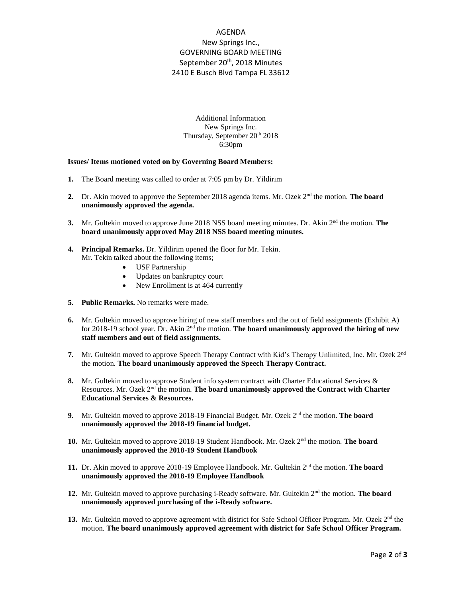## AGENDA New Springs Inc., GOVERNING BOARD MEETING September 20<sup>th</sup>, 2018 Minutes 2410 E Busch Blvd Tampa FL 33612

Additional Information New Springs Inc. Thursday, September 20th 2018 6:30pm

## **Issues/ Items motioned voted on by Governing Board Members:**

- **1.** The Board meeting was called to order at 7:05 pm by Dr. Yildirim
- 2. Dr. Akin moved to approve the September 2018 agenda items. Mr. Ozek 2<sup>nd</sup> the motion. **The board unanimously approved the agenda.**
- **3.** Mr. Gultekin moved to approve June 2018 NSS board meeting minutes. Dr. Akin 2<sup>nd</sup> the motion. **The board unanimously approved May 2018 NSS board meeting minutes.**
- **4. Principal Remarks.** Dr. Yildirim opened the floor for Mr. Tekin. Mr. Tekin talked about the following items;
	- USF Partnership
	- Updates on bankruptcy court
	- New Enrollment is at 464 currently
- **5. Public Remarks.** No remarks were made.
- **6.** Mr. Gultekin moved to approve hiring of new staff members and the out of field assignments (Exhibit A) for 2018-19 school year. Dr. Akin 2<sup>nd</sup> the motion. **The board unanimously approved the hiring of new staff members and out of field assignments.**
- 7. Mr. Gultekin moved to approve Speech Therapy Contract with Kid's Therapy Unlimited, Inc. Mr. Ozek 2<sup>nd</sup> the motion. **The board unanimously approved the Speech Therapy Contract.**
- 8. Mr. Gultekin moved to approve Student info system contract with Charter Educational Services & Resources. Mr. Ozek 2nd the motion. **The board unanimously approved the Contract with Charter Educational Services & Resources.**
- **9.** Mr. Gultekin moved to approve 2018-19 Financial Budget. Mr. Ozek 2<sup>nd</sup> the motion. **The board unanimously approved the 2018-19 financial budget.**
- **10.** Mr. Gultekin moved to approve 2018-19 Student Handbook. Mr. Ozek 2nd the motion. **The board unanimously approved the 2018-19 Student Handbook**
- **11.** Dr. Akin moved to approve 2018-19 Employee Handbook. Mr. Gultekin 2<sup>nd</sup> the motion. **The board unanimously approved the 2018-19 Employee Handbook**
- **12.** Mr. Gultekin moved to approve purchasing i-Ready software. Mr. Gultekin 2nd the motion. **The board unanimously approved purchasing of the i-Ready software.**
- 13. Mr. Gultekin moved to approve agreement with district for Safe School Officer Program. Mr. Ozek 2<sup>nd</sup> the motion. **The board unanimously approved agreement with district for Safe School Officer Program.**